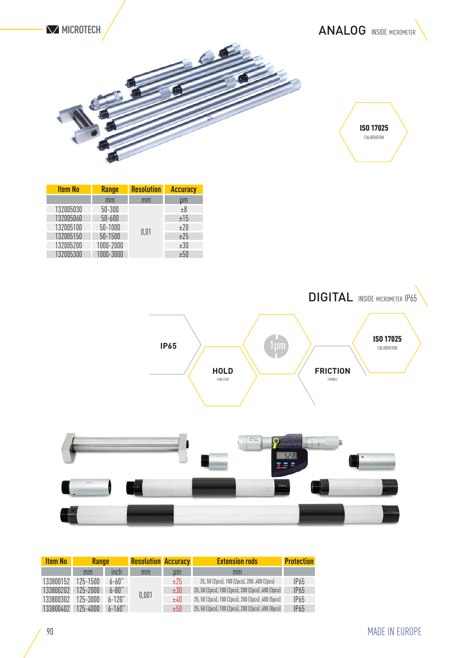

| <b>ISO 17025</b><br>CALIBRATION |  |
|---------------------------------|--|
|                                 |  |

| <b>Item No</b> | <b>Range</b> | <b>Resolution</b> | <b>Accuracy</b> |  |
|----------------|--------------|-------------------|-----------------|--|
|                | mm           | mm                | Цm              |  |
| 132005030      | $50 - 300$   |                   | ±8              |  |
| 132005060      | $50 - 600$   |                   | ±15             |  |
| 132005100      | 50-1000      |                   | ±20             |  |
| 132005150      | 50-1500      | 0.01              | ±25             |  |
| 132005200      | 1000-2000    |                   | ±30             |  |
| 132005300      | 1000-3000    |                   | $+50$           |  |



| Ñ |  | $z$ otmm |  |
|---|--|----------|--|
| H |  |          |  |

| <b>Item No</b> | <b>Range</b> |             |       |       | <b>Resolution Accuracy</b>                        |                  | <b>Extension rods</b> | <b>Protection</b> |
|----------------|--------------|-------------|-------|-------|---------------------------------------------------|------------------|-----------------------|-------------------|
|                | mm           | inch        | mm    | um    | mm                                                |                  |                       |                   |
| 133800152      | $125 - 1500$ | 6-60"       | 0,001 | ±25   | 25, 50 (2pcs), 100 (2pcs), 200, 400 (2pcs)        | IP65             |                       |                   |
| 133800202      | $125 - 2000$ | $6 - 80"$   |       | ±30   | 25, 50 (2pcs), 100 (2pcs), 200 (2pcs), 400 (3pcs) | IP <sub>65</sub> |                       |                   |
| 133800302      | $125 - 3000$ | $6 - 120$ " |       | ±40   | 25, 50 (2pcs), 100 (2pcs), 200 (3pcs), 400 (5pcs) | <b>IP65</b>      |                       |                   |
| 133800402      | $125 - 4000$ | $6 - 160$ " |       | $+50$ | 25, 50 (2pcs), 100 (2pcs), 200 (2pcs), 400 (8pcs) | <b>IP65</b>      |                       |                   |